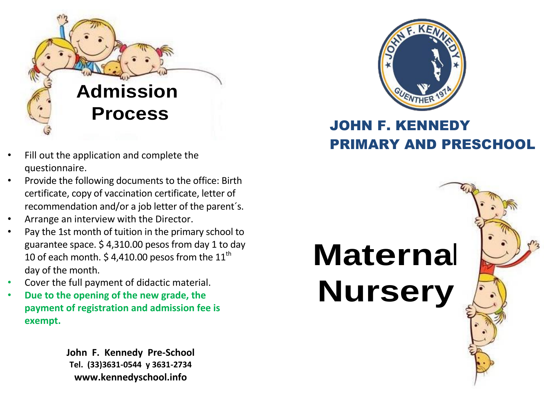

- Fill out the application and complete the questionnaire.
- Provide the following documents to the office: Birth certificate, copy of vaccination certificate, letter of recommendation and/or a job letter of the parent´s.
- Arrange an interview with the Director.
- Pay the 1st month of tuition in the primary school to guarantee space. \$ 4,310.00 pesos from day 1 to day 10 of each month. \$4,410.00 pesos from the 11<sup>th</sup> day of the month.
- Cover the full payment of didactic material.
- **Due to the opening of the new grade, the payment of registration and admission fee is exempt.**

**John F. Kennedy Pre-School Tel. (33)3631-0544 y 3631-2734 [www.kennedyschool.info](http://www.kennedyschool.info/)**



## JOHN F. KENNEDY PRIMARY AND PRESCHOOL

# **Maternal Nursery**